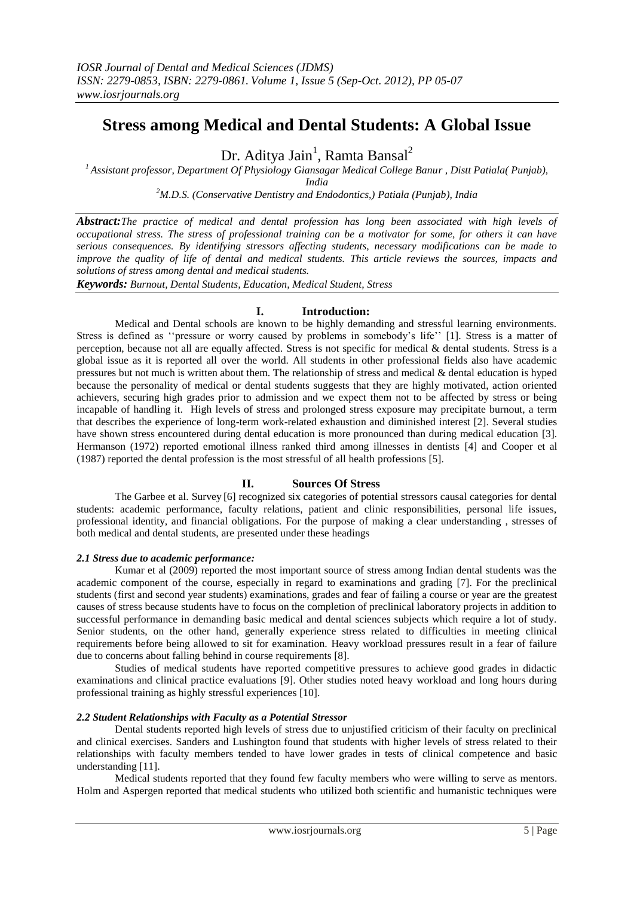# **Stress among Medical and Dental Students: A Global Issue**

Dr. Aditya Jain<sup>1</sup>, Ramta Bansal<sup>2</sup>

*<sup>1</sup>Assistant professor, Department Of Physiology Giansagar Medical College Banur , Distt Patiala( Punjab), India*

*<sup>2</sup>M.D.S. (Conservative Dentistry and Endodontics,) Patiala (Punjab), India*

*Abstract:The practice of medical and dental profession has long been associated with high levels of occupational stress. The stress of professional training can be a motivator for some, for others it can have serious consequences. By identifying stressors affecting students, necessary modifications can be made to improve the quality of life of dental and medical students. This article reviews the sources, impacts and solutions of stress among dental and medical students.*

*Keywords: Burnout, Dental Students, Education, Medical Student, Stress* 

# **I. Introduction:**

Medical and Dental schools are known to be highly demanding and stressful learning environments. Stress is defined as ''pressure or worry caused by problems in somebody's life'' [1]. Stress is a matter of perception, because not all are equally affected. Stress is not specific for medical & dental students. Stress is a global issue as it is reported all over the world. All students in other professional fields also have academic pressures but not much is written about them. The relationship of stress and medical & dental education is hyped because the personality of medical or dental students suggests that they are highly motivated, action oriented achievers, securing high grades prior to admission and we expect them not to be affected by stress or being incapable of handling it. High levels of stress and prolonged stress exposure may precipitate burnout, a term that describes the experience of long-term work-related exhaustion and diminished interest [2]. Several studies have shown stress encountered during dental education is more pronounced than during medical education [3]. Hermanson (1972) reported emotional illness ranked third among illnesses in dentists [4] and Cooper et al (1987) reported the dental profession is the most stressful of all health professions [5].

# **II. Sources Of Stress**

The Garbee et al. Survey [6] recognized six categories of potential stressors causal categories for dental students: academic performance, faculty relations, patient and clinic responsibilities, personal life issues, professional identity, and financial obligations. For the purpose of making a clear understanding , stresses of both medical and dental students, are presented under these headings

# *2.1 Stress due to academic performance:*

Kumar et al (2009) reported the most important source of stress among Indian dental students was the academic component of the course, especially in regard to examinations and grading [7]. For the preclinical students (first and second year students) examinations, grades and fear of failing a course or year are the greatest causes of stress because students have to focus on the completion of preclinical laboratory projects in addition to successful performance in demanding basic medical and dental sciences subjects which require a lot of study. Senior students, on the other hand, generally experience stress related to difficulties in meeting clinical requirements before being allowed to sit for examination. Heavy workload pressures result in a fear of failure due to concerns about falling behind in course requirements [8].

Studies of medical students have reported competitive pressures to achieve good grades in didactic examinations and clinical practice evaluations [9]. Other studies noted heavy workload and long hours during professional training as highly stressful experiences [10].

#### *2.2 Student Relationships with Faculty as a Potential Stressor*

Dental students reported high levels of stress due to unjustified criticism of their faculty on preclinical and clinical exercises. Sanders and Lushington found that students with higher levels of stress related to their relationships with faculty members tended to have lower grades in tests of clinical competence and basic understanding [11].

Medical students reported that they found few faculty members who were willing to serve as mentors. Holm and Aspergen reported that medical students who utilized both scientific and humanistic techniques were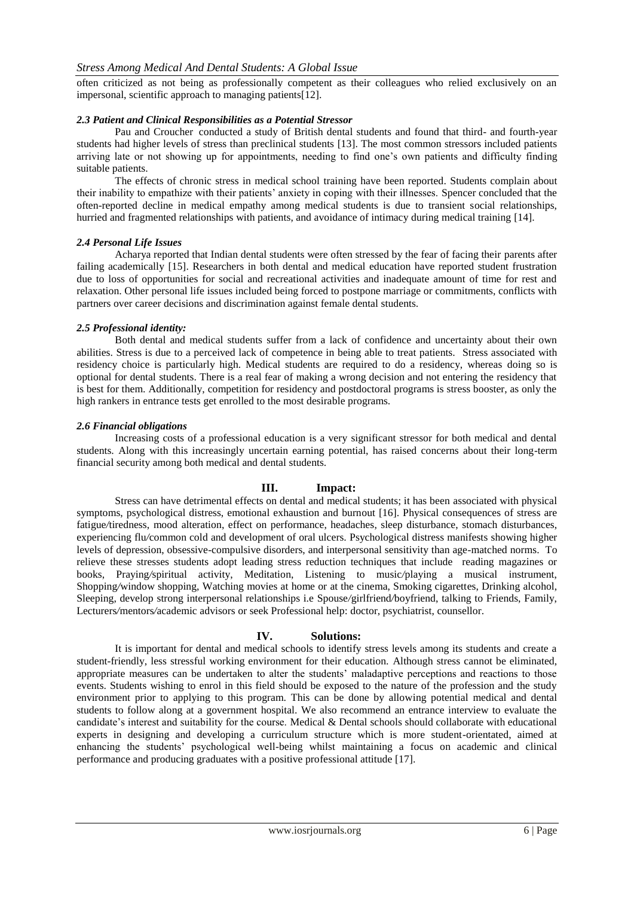often criticized as not being as professionally competent as their colleagues who relied exclusively on an impersonal, scientific approach to managing patients[12].

#### *2.3 Patient and Clinical Responsibilities as a Potential Stressor*

Pau and Croucher conducted a study of British dental students and found that third- and fourth-year students had higher levels of stress than preclinical students [13]. The most common stressors included patients arriving late or not showing up for appointments, needing to find one's own patients and difficulty finding suitable patients.

The effects of chronic stress in medical school training have been reported. Students complain about their inability to empathize with their patients' anxiety in coping with their illnesses. Spencer concluded that the often-reported decline in medical empathy among medical students is due to transient social relationships, hurried and fragmented relationships with patients, and avoidance of intimacy during medical training [14].

## *2.4 Personal Life Issues*

Acharya reported that Indian dental students were often stressed by the fear of facing their parents after failing academically [15]. Researchers in both dental and medical education have reported student frustration due to loss of opportunities for social and recreational activities and inadequate amount of time for rest and relaxation. Other personal life issues included being forced to postpone marriage or commitments, conflicts with partners over career decisions and discrimination against female dental students.

## *2.5 Professional identity:*

Both dental and medical students suffer from a lack of confidence and uncertainty about their own abilities. Stress is due to a perceived lack of competence in being able to treat patients. Stress associated with residency choice is particularly high. Medical students are required to do a residency, whereas doing so is optional for dental students. There is a real fear of making a wrong decision and not entering the residency that is best for them. Additionally, competition for residency and postdoctoral programs is stress booster, as only the high rankers in entrance tests get enrolled to the most desirable programs.

## *2.6 Financial obligations*

Increasing costs of a professional education is a very significant stressor for both medical and dental students. Along with this increasingly uncertain earning potential, has raised concerns about their long-term financial security among both medical and dental students.

# **III. Impact:**

Stress can have detrimental effects on dental and medical students; it has been associated with physical symptoms, psychological distress, emotional exhaustion and burnout [16]. Physical consequences of stress are fatigue*/*tiredness, mood alteration, effect on performance, headaches, sleep disturbance, stomach disturbances, experiencing flu*/*common cold and development of oral ulcers. Psychological distress manifests showing higher levels of depression, obsessive-compulsive disorders, and interpersonal sensitivity than age-matched norms. To relieve these stresses students adopt leading stress reduction techniques that include reading magazines or books, Praying*/*spiritual activity, Meditation, Listening to music*/*playing a musical instrument, Shopping*/*window shopping, Watching movies at home or at the cinema, Smoking cigarettes, Drinking alcohol, Sleeping, develop strong interpersonal relationships i.e Spouse*/*girlfriend*/*boyfriend, talking to Friends, Family, Lecturers*/*mentors*/*academic advisors or seek Professional help: doctor, psychiatrist, counsellor.

# **IV. Solutions:**

It is important for dental and medical schools to identify stress levels among its students and create a student-friendly, less stressful working environment for their education. Although stress cannot be eliminated, appropriate measures can be undertaken to alter the students' maladaptive perceptions and reactions to those events. Students wishing to enrol in this field should be exposed to the nature of the profession and the study environment prior to applying to this program. This can be done by allowing potential medical and dental students to follow along at a government hospital. We also recommend an entrance interview to evaluate the candidate's interest and suitability for the course. Medical & Dental schools should collaborate with educational experts in designing and developing a curriculum structure which is more student-orientated, aimed at enhancing the students' psychological well-being whilst maintaining a focus on academic and clinical performance and producing graduates with a positive professional attitude [17].